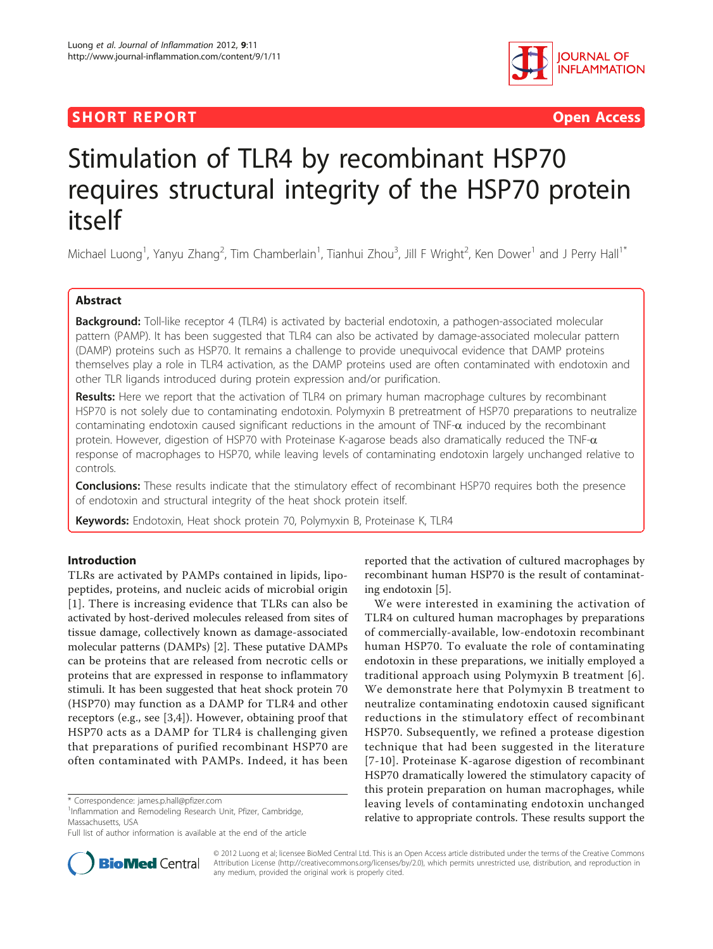# **SHORT REPORT CONSUMING THE CONSUMING THE CONSUMING THE CONSUMING THE CONSUMING THE CONSUMING THE CONSUMING THE CONSUMING THE CONSUMING THE CONSUMING THE CONSUMING THE CONSUMING THE CONSUMING THE CONSUMING THE CONSUMING TH**



# Stimulation of TLR4 by recombinant HSP70 requires structural integrity of the HSP70 protein itself

Michael Luong<sup>1</sup>, Yanyu Zhang<sup>2</sup>, Tim Chamberlain<sup>1</sup>, Tianhui Zhou<sup>3</sup>, Jill F Wright<sup>2</sup>, Ken Dower<sup>1</sup> and J Perry Hall<sup>1\*</sup>

# Abstract

Background: Toll-like receptor 4 (TLR4) is activated by bacterial endotoxin, a pathogen-associated molecular pattern (PAMP). It has been suggested that TLR4 can also be activated by damage-associated molecular pattern (DAMP) proteins such as HSP70. It remains a challenge to provide unequivocal evidence that DAMP proteins themselves play a role in TLR4 activation, as the DAMP proteins used are often contaminated with endotoxin and other TLR ligands introduced during protein expression and/or purification.

Results: Here we report that the activation of TLR4 on primary human macrophage cultures by recombinant HSP70 is not solely due to contaminating endotoxin. Polymyxin B pretreatment of HSP70 preparations to neutralize contaminating endotoxin caused significant reductions in the amount of TNF- $\alpha$  induced by the recombinant protein. However, digestion of HSP70 with Proteinase K-agarose beads also dramatically reduced the  $TNF-\alpha$ response of macrophages to HSP70, while leaving levels of contaminating endotoxin largely unchanged relative to controls.

**Conclusions:** These results indicate that the stimulatory effect of recombinant HSP70 requires both the presence of endotoxin and structural integrity of the heat shock protein itself.

**Keywords:** Endotoxin, Heat shock protein 70, Polymyxin B, Proteinase K, TLR4

# Introduction

TLRs are activated by PAMPs contained in lipids, lipopeptides, proteins, and nucleic acids of microbial origin [[1](#page-3-0)]. There is increasing evidence that TLRs can also be activated by host-derived molecules released from sites of tissue damage, collectively known as damage-associated molecular patterns (DAMPs) [[2\]](#page-3-0). These putative DAMPs can be proteins that are released from necrotic cells or proteins that are expressed in response to inflammatory stimuli. It has been suggested that heat shock protein 70 (HSP70) may function as a DAMP for TLR4 and other receptors (e.g., see [[3,4](#page-3-0)]). However, obtaining proof that HSP70 acts as a DAMP for TLR4 is challenging given that preparations of purified recombinant HSP70 are often contaminated with PAMPs. Indeed, it has been

<sup>1</sup>Inflammation and Remodeling Research Unit, Pfizer, Cambridge, Massachusetts, USA

reported that the activation of cultured macrophages by recombinant human HSP70 is the result of contaminating endotoxin [[5\]](#page-3-0).

We were interested in examining the activation of TLR4 on cultured human macrophages by preparations of commercially-available, low-endotoxin recombinant human HSP70. To evaluate the role of contaminating endotoxin in these preparations, we initially employed a traditional approach using Polymyxin B treatment [[6\]](#page-3-0). We demonstrate here that Polymyxin B treatment to neutralize contaminating endotoxin caused significant reductions in the stimulatory effect of recombinant HSP70. Subsequently, we refined a protease digestion technique that had been suggested in the literature [[7](#page-3-0)-[10](#page-4-0)]. Proteinase K-agarose digestion of recombinant HSP70 dramatically lowered the stimulatory capacity of this protein preparation on human macrophages, while leaving levels of contaminating endotoxin unchanged relative to appropriate controls. These results support the



© 2012 Luong et al; licensee BioMed Central Ltd. This is an Open Access article distributed under the terms of the Creative Commons Attribution License [\(http://creativecommons.org/licenses/by/2.0](http://creativecommons.org/licenses/by/2.0)), which permits unrestricted use, distribution, and reproduction in any medium, provided the original work is properly cited.

<sup>\*</sup> Correspondence: [james.p.hall@pfizer.com](mailto:james.p.hall@pfizer.com)

Full list of author information is available at the end of the article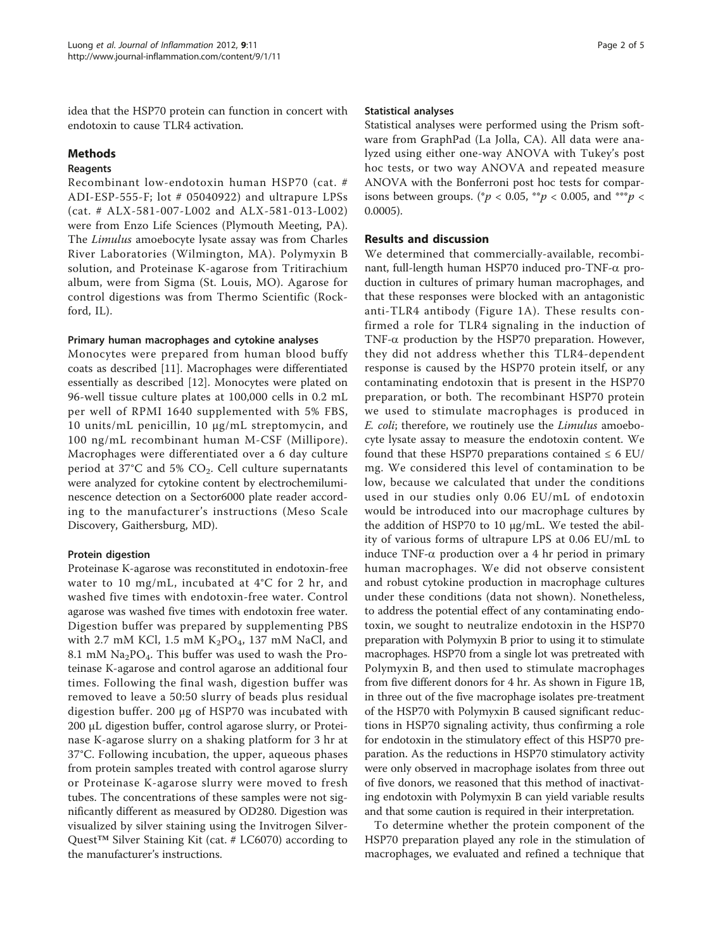idea that the HSP70 protein can function in concert with endotoxin to cause TLR4 activation.

#### Methods

#### Reagents

Recombinant low-endotoxin human HSP70 (cat. # ADI-ESP-555-F; lot # 05040922) and ultrapure LPSs (cat. # ALX-581-007-L002 and ALX-581-013-L002) were from Enzo Life Sciences (Plymouth Meeting, PA). The Limulus amoebocyte lysate assay was from Charles River Laboratories (Wilmington, MA). Polymyxin B solution, and Proteinase K-agarose from Tritirachium album, were from Sigma (St. Louis, MO). Agarose for control digestions was from Thermo Scientific (Rockford, IL).

## Primary human macrophages and cytokine analyses

Monocytes were prepared from human blood buffy coats as described [[11](#page-4-0)]. Macrophages were differentiated essentially as described [\[12](#page-4-0)]. Monocytes were plated on 96-well tissue culture plates at 100,000 cells in 0.2 mL per well of RPMI 1640 supplemented with 5% FBS, 10 units/mL penicillin, 10 μg/mL streptomycin, and 100 ng/mL recombinant human M-CSF (Millipore). Macrophages were differentiated over a 6 day culture period at 37°C and 5%  $CO<sub>2</sub>$ . Cell culture supernatants were analyzed for cytokine content by electrochemiluminescence detection on a Sector6000 plate reader according to the manufacturer's instructions (Meso Scale Discovery, Gaithersburg, MD).

## Protein digestion

Proteinase K-agarose was reconstituted in endotoxin-free water to 10 mg/mL, incubated at 4°C for 2 hr, and washed five times with endotoxin-free water. Control agarose was washed five times with endotoxin free water. Digestion buffer was prepared by supplementing PBS with 2.7 mM KCl, 1.5 mM  $K_2PO_4$ , 137 mM NaCl, and 8.1 mM  $\text{Na}_2\text{PO}_4$ . This buffer was used to wash the Proteinase K-agarose and control agarose an additional four times. Following the final wash, digestion buffer was removed to leave a 50:50 slurry of beads plus residual digestion buffer. 200 μg of HSP70 was incubated with 200 μL digestion buffer, control agarose slurry, or Proteinase K-agarose slurry on a shaking platform for 3 hr at 37°C. Following incubation, the upper, aqueous phases from protein samples treated with control agarose slurry or Proteinase K-agarose slurry were moved to fresh tubes. The concentrations of these samples were not significantly different as measured by OD280. Digestion was visualized by silver staining using the Invitrogen Silver-Quest<sup>™</sup> Silver Staining Kit (cat. # LC6070) according to the manufacturer's instructions.

## Statistical analyses

Statistical analyses were performed using the Prism software from GraphPad (La Jolla, CA). All data were analyzed using either one-way ANOVA with Tukey's post hoc tests, or two way ANOVA and repeated measure ANOVA with the Bonferroni post hoc tests for comparisons between groups. (\* $p < 0.05$ , \*\* $p < 0.005$ , and \*\*\* $p <$ 0.0005).

# Results and discussion

We determined that commercially-available, recombinant, full-length human HSP70 induced pro-TNF-a production in cultures of primary human macrophages, and that these responses were blocked with an antagonistic anti-TLR4 antibody (Figure [1A](#page-2-0)). These results confirmed a role for TLR4 signaling in the induction of TNF- $\alpha$  production by the HSP70 preparation. However, they did not address whether this TLR4-dependent response is caused by the HSP70 protein itself, or any contaminating endotoxin that is present in the HSP70 preparation, or both. The recombinant HSP70 protein we used to stimulate macrophages is produced in E. coli; therefore, we routinely use the Limulus amoebocyte lysate assay to measure the endotoxin content. We found that these HSP70 preparations contained  $\leq 6$  EU/ mg. We considered this level of contamination to be low, because we calculated that under the conditions used in our studies only 0.06 EU/mL of endotoxin would be introduced into our macrophage cultures by the addition of HSP70 to 10 μg/mL. We tested the ability of various forms of ultrapure LPS at 0.06 EU/mL to induce TNF- $\alpha$  production over a 4 hr period in primary human macrophages. We did not observe consistent and robust cytokine production in macrophage cultures under these conditions (data not shown). Nonetheless, to address the potential effect of any contaminating endotoxin, we sought to neutralize endotoxin in the HSP70 preparation with Polymyxin B prior to using it to stimulate macrophages. HSP70 from a single lot was pretreated with Polymyxin B, and then used to stimulate macrophages from five different donors for 4 hr. As shown in Figure [1B](#page-2-0), in three out of the five macrophage isolates pre-treatment of the HSP70 with Polymyxin B caused significant reductions in HSP70 signaling activity, thus confirming a role for endotoxin in the stimulatory effect of this HSP70 preparation. As the reductions in HSP70 stimulatory activity were only observed in macrophage isolates from three out of five donors, we reasoned that this method of inactivating endotoxin with Polymyxin B can yield variable results and that some caution is required in their interpretation.

To determine whether the protein component of the HSP70 preparation played any role in the stimulation of macrophages, we evaluated and refined a technique that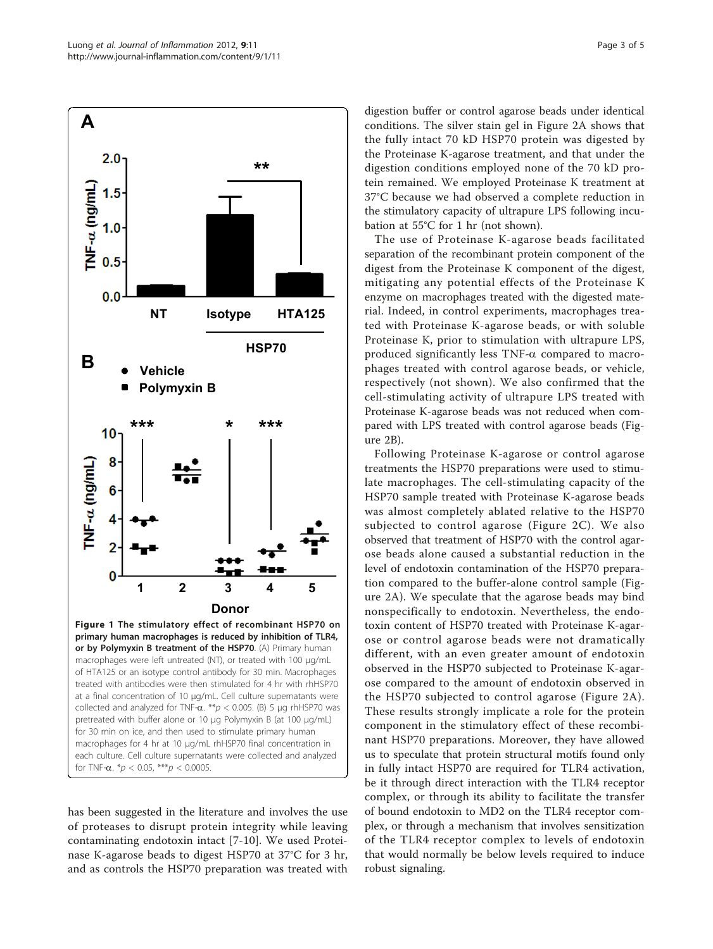<span id="page-2-0"></span>

has been suggested in the literature and involves the use of proteases to disrupt protein integrity while leaving contaminating endotoxin intact [[7-](#page-3-0)[10](#page-4-0)]. We used Proteinase K-agarose beads to digest HSP70 at 37°C for 3 hr, and as controls the HSP70 preparation was treated with

digestion buffer or control agarose beads under identical conditions. The silver stain gel in Figure [2A](#page-3-0) shows that the fully intact 70 kD HSP70 protein was digested by the Proteinase K-agarose treatment, and that under the digestion conditions employed none of the 70 kD protein remained. We employed Proteinase K treatment at 37°C because we had observed a complete reduction in the stimulatory capacity of ultrapure LPS following incubation at 55°C for 1 hr (not shown).

The use of Proteinase K-agarose beads facilitated separation of the recombinant protein component of the digest from the Proteinase K component of the digest, mitigating any potential effects of the Proteinase K enzyme on macrophages treated with the digested material. Indeed, in control experiments, macrophages treated with Proteinase K-agarose beads, or with soluble Proteinase K, prior to stimulation with ultrapure LPS, produced significantly less  $TNF-\alpha$  compared to macrophages treated with control agarose beads, or vehicle, respectively (not shown). We also confirmed that the cell-stimulating activity of ultrapure LPS treated with Proteinase K-agarose beads was not reduced when compared with LPS treated with control agarose beads (Figure [2B\)](#page-3-0).

Following Proteinase K-agarose or control agarose treatments the HSP70 preparations were used to stimulate macrophages. The cell-stimulating capacity of the HSP70 sample treated with Proteinase K-agarose beads was almost completely ablated relative to the HSP70 subjected to control agarose (Figure [2C\)](#page-3-0). We also observed that treatment of HSP70 with the control agarose beads alone caused a substantial reduction in the level of endotoxin contamination of the HSP70 preparation compared to the buffer-alone control sample (Figure [2A\)](#page-3-0). We speculate that the agarose beads may bind nonspecifically to endotoxin. Nevertheless, the endotoxin content of HSP70 treated with Proteinase K-agarose or control agarose beads were not dramatically different, with an even greater amount of endotoxin observed in the HSP70 subjected to Proteinase K-agarose compared to the amount of endotoxin observed in the HSP70 subjected to control agarose (Figure [2A\)](#page-3-0). These results strongly implicate a role for the protein component in the stimulatory effect of these recombinant HSP70 preparations. Moreover, they have allowed us to speculate that protein structural motifs found only in fully intact HSP70 are required for TLR4 activation, be it through direct interaction with the TLR4 receptor complex, or through its ability to facilitate the transfer of bound endotoxin to MD2 on the TLR4 receptor complex, or through a mechanism that involves sensitization of the TLR4 receptor complex to levels of endotoxin that would normally be below levels required to induce robust signaling.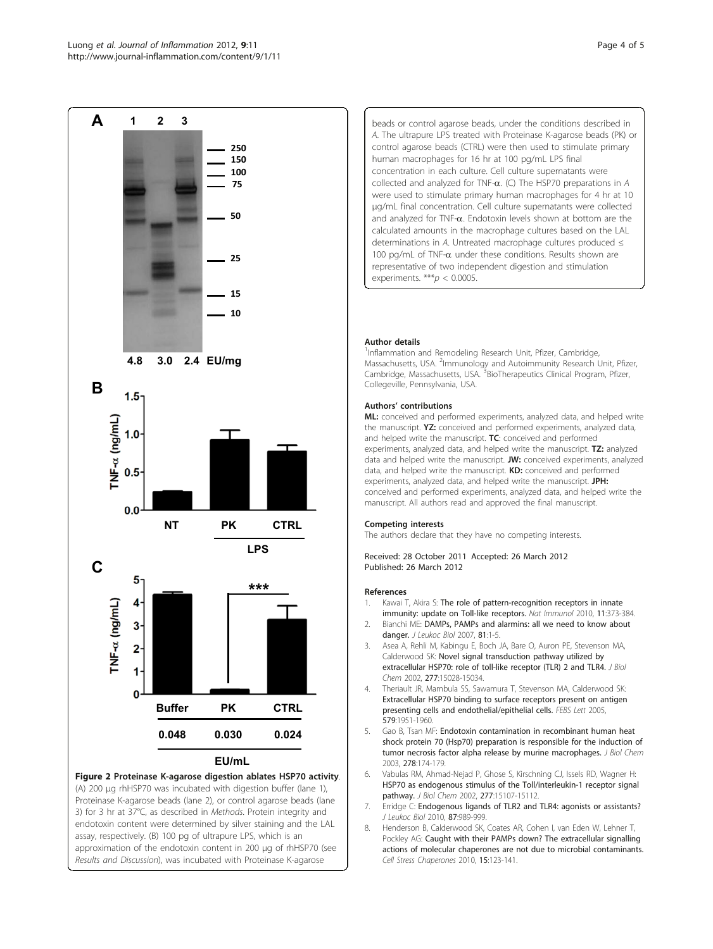<span id="page-3-0"></span>

(A) 200 μg rhHSP70 was incubated with digestion buffer (lane 1), Proteinase K-agarose beads (lane 2), or control agarose beads (lane 3) for 3 hr at 37°C, as described in Methods. Protein integrity and endotoxin content were determined by silver staining and the LAL assay, respectively. (B) 100 pg of ultrapure LPS, which is an approximation of the endotoxin content in 200 μg of rhHSP70 (see Results and Discussion), was incubated with Proteinase K-agarose

beads or control agarose beads, under the conditions described in A. The ultrapure LPS treated with Proteinase K-agarose beads (PK) or control agarose beads (CTRL) were then used to stimulate primary human macrophages for 16 hr at 100 pg/mL LPS final concentration in each culture. Cell culture supernatants were collected and analyzed for TNF- $\alpha$ . (C) The HSP70 preparations in A were used to stimulate primary human macrophages for 4 hr at 10 μg/mL final concentration. Cell culture supernatants were collected and analyzed for TNF- $\alpha$ . Endotoxin levels shown at bottom are the calculated amounts in the macrophage cultures based on the LAL determinations in A. Untreated macrophage cultures produced ≤ 100 pg/mL of TNF- $\alpha$  under these conditions. Results shown are representative of two independent digestion and stimulation experiments.  $***p < 0.0005$ .

#### Author details

<sup>1</sup>Inflammation and Remodeling Research Unit, Pfizer, Cambridge, Massachusetts, USA. <sup>2</sup>Immunology and Autoimmunity Research Unit, Pfizer, Cambridge, Massachusetts, USA. <sup>3</sup>BioTherapeutics Clinical Program, Pfizer Collegeville, Pennsylvania, USA.

#### Authors' contributions

ML: conceived and performed experiments, analyzed data, and helped write the manuscript. Y<sub>7</sub>: conceived and performed experiments, analyzed data and helped write the manuscript. TC: conceived and performed experiments, analyzed data, and helped write the manuscript. TZ: analyzed data and helped write the manuscript. JW: conceived experiments, analyzed data, and helped write the manuscript. **KD:** conceived and performed experiments, analyzed data, and helped write the manuscript. JPH: conceived and performed experiments, analyzed data, and helped write the manuscript. All authors read and approved the final manuscript.

#### Competing interests

The authors declare that they have no competing interests.

Received: 28 October 2011 Accepted: 26 March 2012 Published: 26 March 2012

#### References

- 1. Kawai T, Akira S: [The role of pattern-recognition receptors in innate](http://www.ncbi.nlm.nih.gov/pubmed/20404851?dopt=Abstract) [immunity: update on Toll-like receptors.](http://www.ncbi.nlm.nih.gov/pubmed/20404851?dopt=Abstract) Nat Immunol 2010, 11:373-384.
- 2. Bianchi ME: [DAMPs, PAMPs and alarmins: all we need to know about](http://www.ncbi.nlm.nih.gov/pubmed/17338044?dopt=Abstract) [danger.](http://www.ncbi.nlm.nih.gov/pubmed/17338044?dopt=Abstract) *J Leukoc Biol* 2007, 81:1-5.
- 3. Asea A, Rehli M, Kabingu E, Boch JA, Bare O, Auron PE, Stevenson MA, Calderwood SK: [Novel signal transduction pathway utilized by](http://www.ncbi.nlm.nih.gov/pubmed/11836257?dopt=Abstract) [extracellular HSP70: role of toll-like receptor \(TLR\) 2 and TLR4.](http://www.ncbi.nlm.nih.gov/pubmed/11836257?dopt=Abstract) J Biol Chem 2002, 277:15028-15034.
- 4. Theriault JR, Mambula SS, Sawamura T, Stevenson MA, Calderwood SK: [Extracellular HSP70 binding to surface receptors present on antigen](http://www.ncbi.nlm.nih.gov/pubmed/15792802?dopt=Abstract) [presenting cells and endothelial/epithelial cells.](http://www.ncbi.nlm.nih.gov/pubmed/15792802?dopt=Abstract) FEBS Lett 2005, 579:1951-1960.
- 5. Gao B, Tsan MF: [Endotoxin contamination in recombinant human heat](http://www.ncbi.nlm.nih.gov/pubmed/12403778?dopt=Abstract) [shock protein 70 \(Hsp70\) preparation is responsible for the induction of](http://www.ncbi.nlm.nih.gov/pubmed/12403778?dopt=Abstract) [tumor necrosis factor alpha release by murine macrophages.](http://www.ncbi.nlm.nih.gov/pubmed/12403778?dopt=Abstract) J Biol Chem 2003, 278:174-179.
- 6. Vabulas RM, Ahmad-Nejad P, Ghose S, Kirschning CJ, Issels RD, Wagner H: [HSP70 as endogenous stimulus of the Toll/interleukin-1 receptor signal](http://www.ncbi.nlm.nih.gov/pubmed/11842086?dopt=Abstract) [pathway.](http://www.ncbi.nlm.nih.gov/pubmed/11842086?dopt=Abstract) J Biol Chem 2002, 277:15107-15112.
- 7. Erridge C: [Endogenous ligands of TLR2 and TLR4: agonists or assistants?](http://www.ncbi.nlm.nih.gov/pubmed/20179153?dopt=Abstract) J Leukoc Biol 2010, 87:989-999.
- 8. Henderson B, Calderwood SK, Coates AR, Cohen I, van Eden W, Lehner T, Pockley AG: [Caught with their PAMPs down? The extracellular signalling](http://www.ncbi.nlm.nih.gov/pubmed/19731087?dopt=Abstract) [actions of molecular chaperones are not due to microbial contaminants.](http://www.ncbi.nlm.nih.gov/pubmed/19731087?dopt=Abstract) Cell Stress Chaperones 2010, 15:123-141.